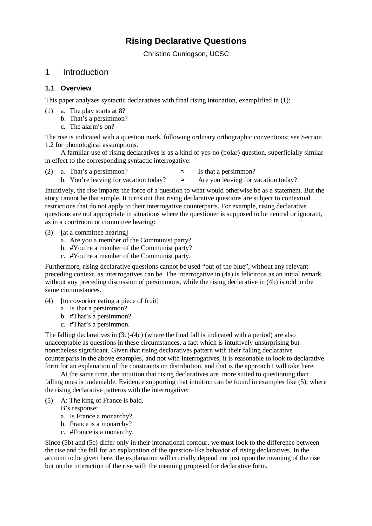# **Rising Declarative Questions**

Christine Gunlogson, UCSC

# 1 Introduction

## **1.1 Overview**

This paper analyzes syntactic declaratives with final rising intonation, exemplified in (1):

- (1) a. The play starts at 8?
	- b. That's a persimmon?
	- c. The alarm's on?

The rise is indicated with a question mark, following ordinary orthographic conventions; see Section 1.2 for phonological assumptions.

A familiar use of rising declaratives is as a kind of yes-no (polar) question, superficially similar in effect to the corresponding syntactic interrogative:

- (2) a. That's a persimmon?  $\approx$  Is that a persimmon?
	-
	- b. You're leaving for vacation today?  $\approx$  Are you leaving for vacation today?

Intuitively, the rise imparts the force of a question to what would otherwise be as a statement. But the story cannot be that simple. It turns out that rising declarative questions are subject to contextual restrictions that do not apply to their interrogative counterparts. For example, rising declarative questions are not appropriate in situations where the questioner is supposed to be neutral or ignorant, as in a courtroom or committee hearing:

- (3) [at a committee hearing]
	- a. Are you a member of the Communist party?
	- b. #You're a member of the Communist party?
	- c. #You're a member of the Communist party.

Furthermore, rising declarative questions cannot be used "out of the blue", without any relevant preceding context, as interrogatives can be. The interrogative in (4a) is felicitous as an initial remark, without any preceding discussion of persimmons, while the rising declarative in (4b) is odd in the same circumstances.

- $(4)$  [to coworker eating a piece of fruit]
	- a. Is that a persimmon?
	- b. #That's a persimmon?
	- c. #That's a persimmon.

The falling declaratives in (3c)-(4c) (where the final fall is indicated with a period) are also unacceptable as questions in these circumstances, a fact which is intuitively unsurprising but nonetheless significant. Given that rising declaratives pattern with their falling declarative counterparts in the above examples, and not with interrogatives, it is reasonable to look to declarative form for an explanation of the constraints on distribution, and that is the approach I will take here.

At the same time, the intuition that rising declaratives are more suited to questioning than falling ones is undeniable. Evidence supporting that intuition can be found in examples like (5), where the rising declarative patterns with the interrogative:

(5) A: The king of France is bald.

B's response:

- a. Is France a monarchy?
- b. France is a monarchy?
- c. #France is a monarchy.

Since (5b) and (5c) differ only in their intonational contour, we must look to the difference between the rise and the fall for an explanation of the question-like behavior of rising declaratives. In the account to be given here, the explanation will crucially depend not just upon the meaning of the rise but on the interaction of the rise with the meaning proposed for declarative form.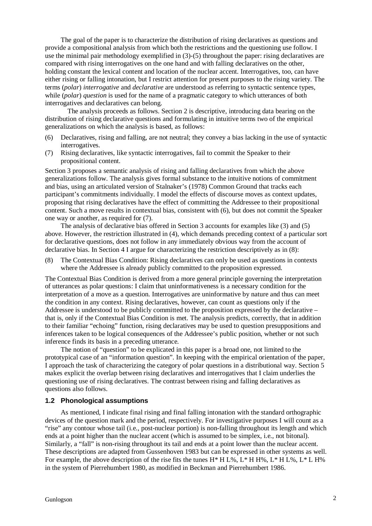The goal of the paper is to characterize the distribution of rising declaratives as questions and provide a compositional analysis from which both the restrictions and the questioning use follow. I use the minimal pair methodology exemplified in (3)-(5) throughout the paper: rising declaratives are compared with rising interrogatives on the one hand and with falling declaratives on the other, holding constant the lexical content and location of the nuclear accent. Interrogatives, too, can have either rising or falling intonation, but I restrict attention for present purposes to the rising variety. The terms (*polar*) *interrogative* and *declarative* are understood as referring to syntactic sentence types, while *(polar) question* is used for the name of a pragmatic category to which utterances of both interrogatives and declaratives can belong.

The analysis proceeds as follows. Section 2 is descriptive, introducing data bearing on the distribution of rising declarative questions and formulating in intuitive terms two of the empirical generalizations on which the analysis is based, as follows:

- (6) Declaratives, rising and falling, are not neutral; they convey a bias lacking in the use of syntactic interrogatives.
- (7) Rising declaratives, like syntactic interrogatives, fail to commit the Speaker to their propositional content.

Section 3 proposes a semantic analysis of rising and falling declaratives from which the above generalizations follow. The analysis gives formal substance to the intuitive notions of commitment and bias, using an articulated version of Stalnaker's (1978) Common Ground that tracks each participant's commitments individually. I model the effects of discourse moves as context updates, proposing that rising declaratives have the effect of committing the Addressee to their propositional content. Such a move results in contextual bias, consistent with (6), but does not commit the Speaker one way or another, as required for (7).

The analysis of declarative bias offered in Section 3 accounts for examples like (3) and (5) above. However, the restriction illustrated in (4), which demands preceding context of a particular sort for declarative questions, does not follow in any immediately obvious way from the account of declarative bias. In Section 4 I argue for characterizing the restriction descriptively as in (8):

(8) The Contextual Bias Condition: Rising declaratives can only be used as questions in contexts where the Addressee is already publicly committed to the proposition expressed.

The Contextual Bias Condition is derived from a more general principle governing the interpretation of utterances as polar questions: I claim that uninformativeness is a necessary condition for the interpretation of a move as a question. Interrogatives are uninformative by nature and thus can meet the condition in any context. Rising declaratives, however, can count as questions only if the Addressee is understood to be publicly committed to the proposition expressed by the declarative – that is, only if the Contextual Bias Condition is met. The analysis predicts, correctly, that in addition to their familiar "echoing" function, rising declaratives may be used to question presuppositions and inferences taken to be logical consequences of the Addressee's public position, whether or not such inference finds its basis in a preceding utterance.

The notion of "question" to be explicated in this paper is a broad one, not limited to the prototypical case of an "information question". In keeping with the empirical orientation of the paper, I approach the task of characterizing the category of polar questions in a distributional way. Section 5 makes explicit the overlap between rising declaratives and interrogatives that I claim underlies the questioning use of rising declaratives. The contrast between rising and falling declaratives as questions also follows.

### **1.2 Phonological assumptions**

As mentioned, I indicate final rising and final falling intonation with the standard orthographic devices of the question mark and the period, respectively. For investigative purposes I will count as a "rise" any contour whose tail (i.e., post-nuclear portion) is non-falling throughout its length and which ends at a point higher than the nuclear accent (which is assumed to be simplex, i.e., not bitonal). Similarly, a "fall" is non-rising throughout its tail and ends at a point lower than the nuclear accent. These descriptions are adapted from Gussenhoven 1983 but can be expressed in other systems as well. For example, the above description of the rise fits the tunes  $H^* H L\%$ ,  $L^* H H\%$ ,  $L^* H L\%$ ,  $L^* L H\%$ in the system of Pierrehumbert 1980, as modified in Beckman and Pierrehumbert 1986.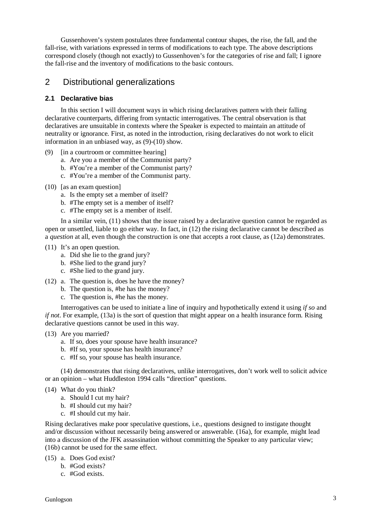Gussenhoven's system postulates three fundamental contour shapes, the rise, the fall, and the fall-rise, with variations expressed in terms of modifications to each type. The above descriptions correspond closely (though not exactly) to Gussenhoven's for the categories of rise and fall; I ignore the fall-rise and the inventory of modifications to the basic contours.

# 2 Distributional generalizations

## **2.1 Declarative bias**

In this section I will document ways in which rising declaratives pattern with their falling declarative counterparts, differing from syntactic interrogatives. The central observation is that declaratives are unsuitable in contexts where the Speaker is expected to maintain an attitude of neutrality or ignorance. First, as noted in the introduction, rising declaratives do not work to elicit information in an unbiased way, as (9)-(10) show.

- (9) [in a courtroom or committee hearing]
	- a. Are you a member of the Communist party?
	- b. #You're a member of the Communist party?
	- c. #You're a member of the Communist party.
- (10) [as an exam question]
	- a. Is the empty set a member of itself?
	- b. #The empty set is a member of itself?
	- c. #The empty set is a member of itself.

In a similar vein, (11) shows that the issue raised by a declarative question cannot be regarded as open or unsettled, liable to go either way. In fact, in (12) the rising declarative cannot be described as a *question* at all, even though the construction is one that accepts a root clause, as (12a) demonstrates.

- (11) It's an open question.
	- a. Did she lie to the grand jury?
	- b. #She lied to the grand jury?
	- c. #She lied to the grand jury.
- (12) a. The question is, does he have the money?
	- b. The question is, #he has the money?
	- c. The question is, #he has the money.

Interrogatives can be used to initiate a line of inquiry and hypothetically extend it using *if so* and *if not*. For example, (13a) is the sort of question that might appear on a health insurance form. Rising declarative questions cannot be used in this way.

- (13) Are you married?
	- a. If so, does your spouse have health insurance?
	- b. #If so, your spouse has health insurance?
	- c. #If so, your spouse has health insurance.

(14) demonstrates that rising declaratives, unlike interrogatives, don't work well to solicit advice or an opinion – what Huddleston 1994 calls "direction" questions.

- (14) What do you think?
	- a. Should I cut my hair?
	- b. #I should cut my hair?
	- c. #I should cut my hair.

Rising declaratives make poor speculative questions, i.e., questions designed to instigate thought and/or discussion without necessarily being answered or answerable. (16a), for example, might lead into a discussion of the JFK assassination without committing the Speaker to any particular view; (16b) cannot be used for the same effect.

- (15) a. Does God exist?
	- b. #God exists?
	- c. #God exists.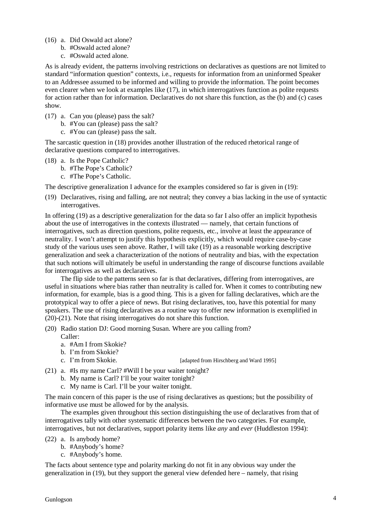- (16) a. Did Oswald act alone?
	- b. #Oswald acted alone?
	- c. #Oswald acted alone.

As is already evident, the patterns involving restrictions on declaratives as questions are not limited to standard "information question" contexts, i.e., requests for information from an uninformed Speaker to an Addressee assumed to be informed and willing to provide the information. The point becomes even clearer when we look at examples like (17), in which interrogatives function as polite requests for action rather than for information. Declaratives do not share this function, as the (b) and (c) cases show.

- (17) a. Can you (please) pass the salt?
	- b. #You can (please) pass the salt?
	- c. #You can (please) pass the salt.

The sarcastic question in (18) provides another illustration of the reduced rhetorical range of declarative questions compared to interrogatives.

- (18) a. Is the Pope Catholic?
	- b. #The Pope's Catholic?
	- c. #The Pope's Catholic.

The descriptive generalization I advance for the examples considered so far is given in (19):

(19) Declaratives, rising and falling, are not neutral; they convey a bias lacking in the use of syntactic interrogatives.

In offering (19) as a descriptive generalization for the data so far I also offer an implicit hypothesis about the use of interrogatives in the contexts illustrated — namely, that certain functions of interrogatives, such as direction questions, polite requests, etc., involve at least the appearance of neutrality. I won't attempt to justify this hypothesis explicitly, which would require case-by-case study of the various uses seen above. Rather, I will take (19) as a reasonable working descriptive generalization and seek a characterization of the notions of neutrality and bias, with the expectation that such notions will ultimately be useful in understanding the range of discourse functions available for interrogatives as well as declaratives.

The flip side to the patterns seen so far is that declaratives, differing from interrogatives, are useful in situations where bias rather than neutrality is called for. When it comes to contributing new information, for example, bias is a good thing. This is a given for falling declaratives, which are the prototypical way to offer a piece of news. But rising declaratives, too, have this potential for many speakers. The use of rising declaratives as a routine way to offer new information is exemplified in (20)-(21). Note that rising interrogatives do not share this function.

- (20) Radio station DJ: Good morning Susan. Where are you calling from?
	- Caller: a. #Am I from Skokie?
	- b. I'm from Skokie?
	-
	- c. I'm from Skokie. [adapted from Hirschberg and Ward 1995]
- (21) a. #Is my name Carl? #Will I be your waiter tonight?
	- b. My name is Carl? I'll be your waiter tonight?
	- c. My name is Carl. I'll be your waiter tonight.

The main concern of this paper is the use of rising declaratives as questions; but the possibility of informative use must be allowed for by the analysis.

The examples given throughout this section distinguishing the use of declaratives from that of interrogatives tally with other systematic differences between the two categories. For example, interrogatives, but not declaratives, support polarity items like *any* and *ever* (Huddleston 1994):

- (22) a. Is anybody home?
	- b. #Anybody's home?
	- c. #Anybody's home.

The facts about sentence type and polarity marking do not fit in any obvious way under the generalization in (19), but they support the general view defended here – namely, that rising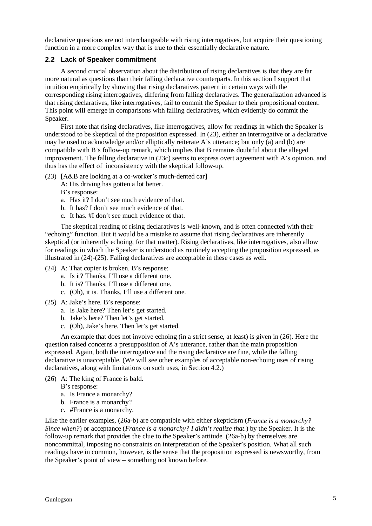declarative questions are not interchangeable with rising interrogatives, but acquire their questioning function in a more complex way that is true to their essentially declarative nature.

### **2.2 Lack of Speaker commitment**

A second crucial observation about the distribution of rising declaratives is that they are far more natural as questions than their falling declarative counterparts. In this section I support that intuition empirically by showing that rising declaratives pattern in certain ways with the corresponding rising interrogatives, differing from falling declaratives. The generalization advanced is that rising declaratives, like interrogatives, fail to commit the Speaker to their propositional content. This point will emerge in comparisons with falling declaratives, which evidently do commit the Speaker.

First note that rising declaratives, like interrogatives, allow for readings in which the Speaker is understood to be skeptical of the proposition expressed. In (23), either an interrogative or a declarative may be used to acknowledge and/or elliptically reiterate A's utterance; but only (a) and (b) are compatible with B's follow-up remark, which implies that B remains doubtful about the alleged improvement. The falling declarative in (23c) seems to express overt agreement with A's opinion, and thus has the effect of inconsistency with the skeptical follow-up.

- (23) [A&B are looking at a co-worker's much-dented car]
	- A: His driving has gotten a lot better.

B's response:

- a. Has it? I don't see much evidence of that.
- b. It has? I don't see much evidence of that.
- c. It has. #I don't see much evidence of that.

The skeptical reading of rising declaratives is well-known, and is often connected with their "echoing" function. But it would be a mistake to assume that rising declaratives are inherently skeptical (or inherently echoing, for that matter). Rising declaratives, like interrogatives, also allow for readings in which the Speaker is understood as routinely accepting the proposition expressed, as illustrated in (24)-(25). Falling declaratives are acceptable in these cases as well.

- (24) A: That copier is broken. B's response:
	- a. Is it? Thanks, I'll use a different one.
	- b. It is? Thanks, I'll use a different one.
	- c. (Oh), it is. Thanks, I'll use a different one.
- (25) A: Jake's here. B's response:
	- a. Is Jake here? Then let's get started.
	- b. Jake's here? Then let's get started.
	- c. (Oh), Jake's here. Then let's get started.

An example that does not involve echoing (in a strict sense, at least) is given in (26). Here the question raised concerns a presupposition of A's utterance, rather than the main proposition expressed. Again, both the interrogative and the rising declarative are fine, while the falling declarative is unacceptable. (We will see other examples of acceptable non-echoing uses of rising declaratives, along with limitations on such uses, in Section 4.2.)

(26) A: The king of France is bald.

B's response:

- a. Is France a monarchy?
- b. France is a monarchy?
- c. #France is a monarchy.

Like the earlier examples, (26a-b) are compatible with either skepticism (*France is a monarchy? Since when?*) or acceptance (*France is a monarchy? I didn't realize that.*) by the Speaker. It is the follow-up remark that provides the clue to the Speaker's attitude. (26a-b) by themselves are noncommittal, imposing no constraints on interpretation of the Speaker's position. What all such readings have in common, however, is the sense that the proposition expressed is newsworthy, from the Speaker's point of view – something not known before.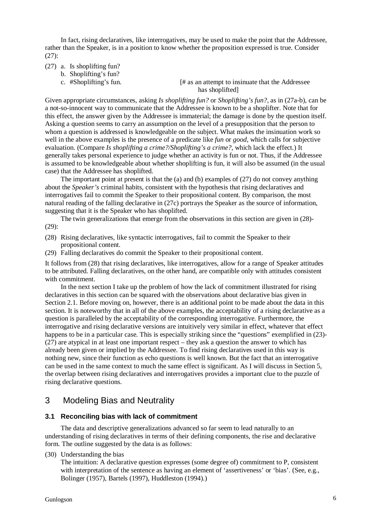In fact, rising declaratives, like interrogatives, may be used to make the point that the Addressee, rather than the Speaker, is in a position to know whether the proposition expressed is true. Consider (27):

- (27) a. Is shoplifting fun?
	- b. Shoplifting's fun?
	-

c. #Shoplifting's fun. [# as an attempt to insinuate that the Addressee has shoplifted]

Given appropriate circumstances, asking *Is shoplifting fun?* or *Shoplifting's fun?*, as in (27a-b), can be a not-so-innocent way to communicate that the Addressee is known to be a shoplifter. Note that for this effect, the answer given by the Addressee is immaterial; the damage is done by the question itself. Asking a question seems to carry an assumption on the level of a presupposition that the person to whom a question is addressed is knowledgeable on the subject. What makes the insinuation work so well in the above examples is the presence of a predicate like *fun* or *good*, which calls for subjective evaluation. (Compare *Is shoplifting a crime?/Shoplifting's a crime?*, which lack the effect.) It generally takes personal experience to judge whether an activity is fun or not. Thus, if the Addressee is assumed to be knowledgeable about whether shoplifting is fun, it will also be assumed (in the usual case) that the Addressee has shoplifted.

The important point at present is that the  $(a)$  and  $(b)$  examples of  $(27)$  do not convey anything about the *Speaker's* criminal habits, consistent with the hypothesis that rising declaratives and interrogatives fail to commit the Speaker to their propositional content. By comparison, the most natural reading of the falling declarative in (27c) portrays the Speaker as the source of information, suggesting that it is the Speaker who has shoplifted.

The twin generalizations that emerge from the observations in this section are given in (28)- (29):

- (28) Rising declaratives, like syntactic interrogatives, fail to commit the Speaker to their propositional content.
- (29) Falling declaratives do commit the Speaker to their propositional content.

It follows from (28) that rising declaratives, like interrogatives, allow for a range of Speaker attitudes to be attributed. Falling declaratives, on the other hand, are compatible only with attitudes consistent with commitment.

In the next section I take up the problem of how the lack of commitment illustrated for rising declaratives in this section can be squared with the observations about declarative bias given in Section 2.1. Before moving on, however, there is an additional point to be made about the data in this section. It is noteworthy that in all of the above examples, the acceptability of a rising declarative as a question is paralleled by the acceptability of the corresponding interrogative. Furthermore, the interrogative and rising declarative versions are intuitively very similar in effect, whatever that effect happens to be in a particular case. This is especially striking since the "questions" exemplified in (23)-(27) are atypical in at least one important respect – they ask a question the answer to which has already been given or implied by the Addressee. To find rising declaratives used in this way is nothing new, since their function as echo questions is well known. But the fact that an interrogative can be used in the same context to much the same effect is significant. As I will discuss in Section 5, the overlap between rising declaratives and interrogatives provides a important clue to the puzzle of rising declarative questions.

# 3 Modeling Bias and Neutrality

#### **3.1 Reconciling bias with lack of commitment**

The data and descriptive generalizations advanced so far seem to lead naturally to an understanding of rising declaratives in terms of their defining components, the rise and declarative form. The outline suggested by the data is as follows:

(30) Understanding the bias

The intuition: A declarative question expresses (some degree of) commitment to P, consistent with interpretation of the sentence as having an element of 'assertiveness' or 'bias'. (See, e.g., Bolinger (1957), Bartels (1997), Huddleston (1994).)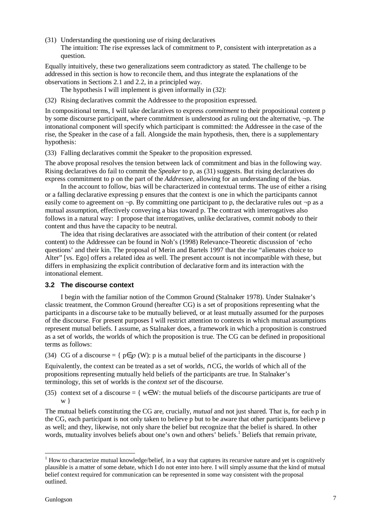(31) Understanding the questioning use of rising declaratives The intuition: The rise expresses lack of commitment to P, consistent with interpretation as a question.

Equally intuitively, these two generalizations seem contradictory as stated. The challenge to be addressed in this section is how to reconcile them, and thus integrate the explanations of the observations in Sections 2.1 and 2.2, in a principled way.

The hypothesis I will implement is given informally in (32):

(32) Rising declaratives commit the Addressee to the proposition expressed.

In compositional terms, I will take declaratives to express *commitment* to their propositional content p by some discourse participant, where commitment is understood as ruling out the alternative, ¬p. The intonational component will specify which participant is committed: the Addressee in the case of the rise, the Speaker in the case of a fall. Alongside the main hypothesis, then, there is a supplementary hypothesis:

(33) Falling declaratives commit the Speaker to the proposition expressed.

The above proposal resolves the tension between lack of commitment and bias in the following way. Rising declaratives do fail to commit the *Speaker* to p, as (31) suggests. But rising declaratives do express commitment to p on the part of the *Addressee*, allowing for an understanding of the bias.

In the account to follow, bias will be characterized in contextual terms. The use of either a rising or a falling declarative expressing p ensures that the context is one in which the participants cannot easily come to agreement on  $\neg p$ . By committing one participant to p, the declarative rules out  $\neg p$  as a mutual assumption, effectively conveying a bias toward p. The contrast with interrogatives also follows in a natural way: I propose that interrogatives, unlike declaratives, commit nobody to their content and thus have the capacity to be neutral.

The idea that rising declaratives are associated with the attribution of their content (or related content) to the Addressee can be found in Noh's (1998) Relevance-Theoretic discussion of 'echo questions' and their kin. The proposal of Merin and Bartels 1997 that the rise "alienates choice to Alter" [vs. Ego] offers a related idea as well. The present account is not incompatible with these, but differs in emphasizing the explicit contribution of declarative form and its interaction with the intonational element.

## **3.2 The discourse context**

I begin with the familiar notion of the Common Ground (Stalnaker 1978). Under Stalnaker's classic treatment, the Common Ground (hereafter CG) is a set of propositions representing what the participants in a discourse take to be mutually believed, or at least mutually assumed for the purposes of the discourse. For present purposes I will restrict attention to contexts in which mutual assumptions represent mutual beliefs. I assume, as Stalnaker does, a framework in which a proposition is construed as a set of worlds, the worlds of which the proposition is true. The CG can be defined in propositional terms as follows:

(34) CG of a discourse = {  $p \in \mathcal{D}(W)$ : p is a mutual belief of the participants in the discourse }

Equivalently, the context can be treated as a set of worlds, ∩CG, the worlds of which all of the propositions representing mutually held beliefs of the participants are true. In Stalnaker's terminology, this set of worlds is the *context set* of the discourse.

(35) context set of a discourse = {  $w \in W$ : the mutual beliefs of the discourse participants are true of w }

The mutual beliefs constituting the CG are, crucially, *mutual* and not just shared. That is, for each p in the CG, each participant is not only taken to believe p but to be aware that other participants believe p as well; and they, likewise, not only share the belief but recognize that the belief is shared. In other words, mutuality involves beliefs about one's own and others' beliefs.<sup>1</sup> Beliefs that remain private,

 $\overline{a}$ 

 $1$  How to characterize mutual knowledge/belief, in a way that captures its recursive nature and yet is cognitively plausible is a matter of some debate, which I do not enter into here. I will simply assume that the kind of mutual belief context required for communication can be represented in some way consistent with the proposal outlined.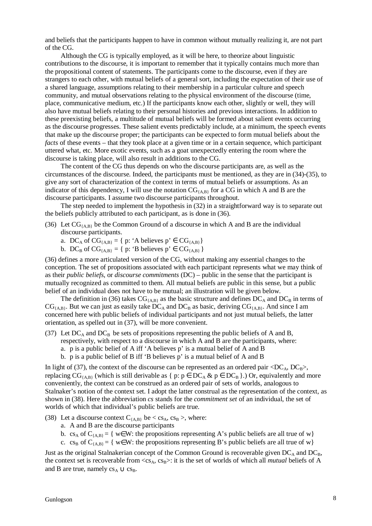and beliefs that the participants happen to have in common without mutually realizing it, are not part of the CG.

Although the CG is typically employed, as it will be here, to theorize about linguistic contributions to the discourse, it is important to remember that it typically contains much more than the propositional content of statements. The participants come to the discourse, even if they are strangers to each other, with mutual beliefs of a general sort, including the expectation of their use of a shared language, assumptions relating to their membership in a particular culture and speech community, and mutual observations relating to the physical environment of the discourse (time, place, communicative medium, etc.) If the participants know each other, slightly or well, they will also have mutual beliefs relating to their personal histories and previous interactions. In addition to these preexisting beliefs, a multitude of mutual beliefs will be formed about salient events occurring as the discourse progresses. These salient events predictably include, at a minimum, the speech events that make up the discourse proper; the participants can be expected to form mutual beliefs about the *facts* of these events – that they took place at a given time or in a certain sequence, which participant uttered what, etc. More exotic events, such as a goat unexpectedly entering the room where the discourse is taking place, will also result in additions to the CG.

The content of the CG thus depends on who the discourse participants are, as well as the circumstances of the discourse. Indeed, the participants must be mentioned, as they are in (34)-(35), to give any sort of characterization of the context in terms of mutual beliefs or assumptions. As an indicator of this dependency, I will use the notation  $CG_{\{A,B\}}$  for a CG in which A and B are the discourse participants. I assume two discourse participants throughout.

The step needed to implement the hypothesis in (32) in a straightforward way is to separate out the beliefs publicly attributed to each participant, as is done in (36).

- (36) Let  $CG_{\{A,B\}}$  be the Common Ground of a discourse in which A and B are the individual discourse participants.
	- a. DC<sub>A</sub> of CG<sub>{A,B}</sub> = { p: 'A believes p'  $\in$  CG<sub>{A,B}</sub>}
	- b. DC<sub>B</sub> of CG<sub>{A,B}</sub> = { p: 'B believes  $p' \in CG_{[A,B]}$ }

(36) defines a more articulated version of the CG, without making any essential changes to the conception. The set of propositions associated with each participant represents what we may think of as their *public beliefs*, or *discourse commitments* (DC) – public in the sense that the participant is mutually recognized as committed to them. All mutual beliefs are public in this sense, but a public belief of an individual does not have to be mutual; an illustration will be given below.

The definition in (36) takes  $CG_{\{AB\}}$  as the basic structure and defines  $DC_A$  and  $DC_B$  in terms of  $CG_{\{A,B\}}$ . But we can just as easily take  $DC_A$  and  $DC_B$  as basic, deriving  $CG_{\{A,B\}}$ . And since I am concerned here with public beliefs of individual participants and not just mutual beliefs, the latter orientation, as spelled out in (37), will be more convenient.

- (37) Let  $DC_A$  and  $DC_B$  be sets of propositions representing the public beliefs of A and B, respectively, with respect to a discourse in which A and B are the participants, where: a. p is a public belief of A iff 'A believes p' is a mutual belief of A and B
	- b. p is a public belief of B iff 'B believes p' is a mutual belief of A and B

In light of (37), the context of the discourse can be represented as an ordered pair  $\langle DC_A, DC_B \rangle$ , replacing  $CG_{\{A,B\}}$  (which is still derivable as { p: p  $\in$  DC<sub>A</sub> & p  $\in$  DC<sub>B</sub> }.) Or, equivalently and more conveniently, the context can be construed as an ordered pair of sets of worlds, analogous to Stalnaker's notion of the context set. I adopt the latter construal as the representation of the context, as shown in (38). Here the abbreviation *cs* stands for the *commitment set* of an individual, the set of worlds of which that individual's public beliefs are true.

(38) Let a discourse context  $C_{\{A,B\}}$  be < cs<sub>A</sub>, cs<sub>B</sub> >, where:

- a. A and B are the discourse participants
- b. cs<sub>A</sub> of  $C_{(AB)} = \{ w \in W$ : the propositions representing A's public beliefs are all true of w
- c. cs<sub>B</sub> of C<sub>{A,B}</sub> = { w∈W: the propositions representing B's public beliefs are all true of w}

Just as the original Stalnakerian concept of the Common Ground is recoverable given  $DC_A$  and  $DC_B$ , the context set is recoverable from  $\langle cs_A, cs_B \rangle$ : it is the set of worlds of which all *mutual* beliefs of A and B are true, namely  $cs_A \cup cs_B$ .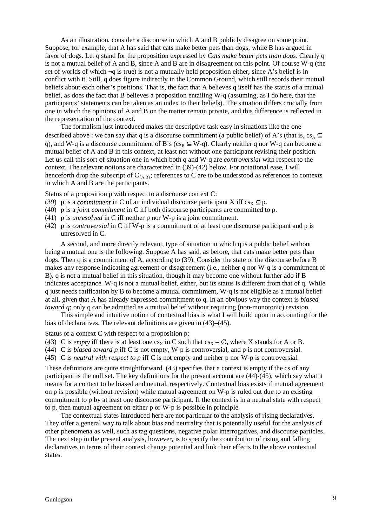As an illustration, consider a discourse in which A and B publicly disagree on some point. Suppose, for example, that A has said that cats make better pets than dogs, while B has argued in favor of dogs. Let q stand for the proposition expressed by *Cats make better pets than dogs*. Clearly q is not a mutual belief of A and B, since A and B are in disagreement on this point. Of course W-q (the set of worlds of which  $\neg q$  is true) is not a mutually held proposition either, since A's belief is in conflict with it. Still, q does figure indirectly in the Common Ground, which still records their mutual beliefs about each other's positions. That is, the fact that A believes q itself has the status of a mutual belief, as does the fact that B believes a proposition entailing W-q (assuming, as I do here, that the participants' statements can be taken as an index to their beliefs). The situation differs crucially from one in which the opinions of A and B on the matter remain private, and this difference is reflected in the representation of the context.

The formalism just introduced makes the descriptive task easy in situations like the one described above : we can say that q is a discourse commitment (a public belief) of A's (that is, cs<sub>A</sub>  $\subseteq$ q), and W-q is a discourse commitment of B's ( $cs_B \subseteq W$ -q). Clearly neither q nor W-q can become a mutual belief of A and B in this context, at least not without one participant revising their position. Let us call this sort of situation one in which both q and W-q are *controversial* with respect to the context. The relevant notions are characterized in (39)-(42) below. For notational ease, I will henceforth drop the subscript of  $C_{(AB)}$ ; references to C are to be understood as references to contexts in which A and B are the participants.

Status of a proposition p with respect to a discourse context C:

- (39) p is a *commitment* in C of an individual discourse participant X iff  $cs_x \subset p$ .
- (40) p is a *joint commitment* in C iff both discourse participants are committed to p.
- (41) p is *unresolved* in C iff neither p nor W-p is a joint commitment.
- (42) p is *controversial* in C iff W-p is a commitment of at least one discourse participant and p is unresolved in C.

A second, and more directly relevant, type of situation in which q is a public belief without being a mutual one is the following. Suppose A has said, as before, that cats make better pets than dogs. Then q is a commitment of A, according to (39). Consider the state of the discourse before B makes any response indicating agreement or disagreement (i.e., neither q nor W-q is a commitment of B). q is not a mutual belief in this situation, though it may become one without further ado if B indicates acceptance. W-q is not a mutual belief, either, but its status is different from that of q. While q just needs ratification by B to become a mutual commitment, W-q is not eligible as a mutual belief at all, given that A has already expressed commitment to q. In an obvious way the context is *biased toward q*; only q can be admitted as a mutual belief without requiring (non-monotonic) revision.

This simple and intuitive notion of contextual bias is what I will build upon in accounting for the bias of declaratives. The relevant definitions are given in (43)–(45).

Status of a context C with respect to a proposition p:

- (43) C is *empty* iff there is at least one cs<sub>x</sub> in C such that cs<sub>x</sub> =  $\varnothing$ , where X stands for A or B.
- (44) C is *biased toward p* iff C is not empty, W-p is controversial, and p is not controversial.
- (45) C is *neutral with respect to p* iff C is not empty and neither p nor W-p is controversial.

These definitions are quite straightforward. (43) specifies that a context is empty if the cs of any participant is the null set. The key definitions for the present account are (44)-(45), which say what it means for a context to be biased and neutral, respectively. Contextual bias exists if mutual agreement on p is possible (without revision) while mutual agreement on W-p is ruled out due to an existing commitment to p by at least one discourse participant. If the context is in a neutral state with respect to p, then mutual agreement on either p or W-p is possible in principle.

The contextual states introduced here are not particular to the analysis of rising declaratives. They offer a general way to talk about bias and neutrality that is potentially useful for the analysis of other phenomena as well, such as tag questions, negative polar interrogatives, and discourse particles. The next step in the present analysis, however, is to specify the contribution of rising and falling declaratives in terms of their context change potential and link their effects to the above contextual states.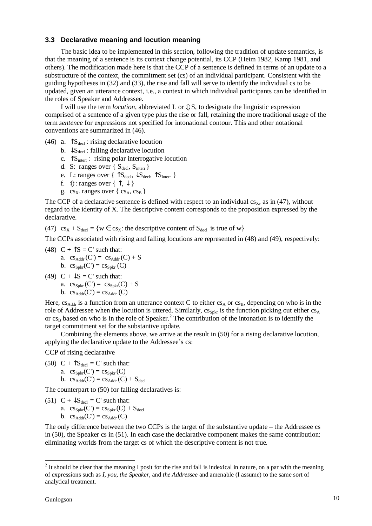### **3.3 Declarative meaning and locution meaning**

The basic idea to be implemented in this section, following the tradition of update semantics, is that the meaning of a sentence is its context change potential, its CCP (Heim 1982, Kamp 1981, and others). The modification made here is that the CCP of a sentence is defined in terms of an update to a substructure of the context, the commitment set (cs) of an individual participant. Consistent with the guiding hypotheses in (32) and (33), the rise and fall will serve to identify the individual cs to be updated, given an utterance context, i.e., a context in which individual participants can be identified in the roles of Speaker and Addressee.

I will use the term *locution*, abbreviated L or  $\hat{y}S$ , to designate the linguistic expression comprised of a sentence of a given type plus the rise or fall, retaining the more traditional usage of the term *sentence* for expressions not specified for intonational contour. This and other notational conventions are summarized in (46).

- (46) a.  $\int S_{\text{del}}$ : rising declarative locution
	- b.  $\downarrow$ S<sub>decl</sub>: falling declarative locution
	- c.  $\uparrow S_{inter}$ : rising polar interrogative locution
	- d. S: ranges over  $\{S_{\text{decl}}, S_{\text{inter}}\}$
	- e. L: ranges over {  $\uparrow S_{\text{decl}}$ ,  $\downarrow S_{\text{decl}}$ ,  $\uparrow S_{\text{inter}}$  }
	- f.  $\hat{\psi}$ : ranges over {  $\hat{\mathcal{T}}$ ,  $\downarrow$  }
	- g. cs<sub>x</sub>. ranges over  $\{cs_A, cs_B\}$

The CCP of a declarative sentence is defined with respect to an individual  $cs<sub>x</sub>$ , as in (47), without regard to the identity of X. The descriptive content corresponds to the proposition expressed by the declarative.

(47)  $cs_x + S_{\text{del}} = \{w \in cs_x: \text{ the descriptive content of } S_{\text{del}} \text{ is true of } w\}$ 

The CCPs associated with rising and falling locutions are represented in (48) and (49), respectively:

- (48)  $C + \hat{S} = C'$  such that:
	- a.  $cs_{\text{Addr}}(C') = cs_{\text{Addr}}(C) + S$
	- b.  $\csc_{Spkr}(C') = \csc_{Spkr}(C)$
- (49)  $C + \sqrt{S} = C'$  such that:
	- a.  $cs<sub>Spkr</sub>(C') = cs<sub>Spkr</sub>(C) + S$
	- b.  $cs_{\text{Addr}}(C') = cs_{\text{Addr}}(C)$

Here,  $cs_{\text{Addr}}$  is a function from an utterance context C to either  $cs_A$  or  $cs_B$ , depending on who is in the role of Addressee when the locution is uttered. Similarly,  $cs_{\text{spkr}}$  is the function picking out either  $cs_A$ or  $cs_B$  based on who is in the role of Speaker.<sup>2</sup> The contribution of the intonation is to identify the target commitment set for the substantive update.

Combining the elements above, we arrive at the result in (50) for a rising declarative locution, applying the declarative update to the Addressee's cs:

CCP of rising declarative

(50) C +  $\uparrow S_{\text{decl}} = C'$  such that:

- a.  $cs<sub>Spkr</sub>(C') = cs<sub>Spkr</sub>(C)$
- b.  $cs_{\text{Addr}}(C') = cs_{\text{Addr}}(C) + S_{\text{decl}}$

The counterpart to (50) for falling declaratives is:

- (51)  $C + \sqrt{S_{\text{decl}}} = C'$  such that:
	- a.  $cs<sub>Spkr</sub>(C') = cs<sub>Spkr</sub>(C) + S<sub>decl</sub>$
	- b.  $cs_{Addr}(C') = cs_{Addr}(C)$

The only difference between the two CCPs is the target of the substantive update – the Addressee cs in (50), the Speaker cs in (51). In each case the declarative component makes the same contribution: eliminating worlds from the target cs of which the descriptive content is not true.

<sup>&</sup>lt;sup>2</sup> It should be clear that the meaning I posit for the rise and fall is indexical in nature, on a par with the meaning of expressions such as *I, you*, *the Speaker*, and *the Addressee* and amenable (I assume) to the same sort of analytical treatment.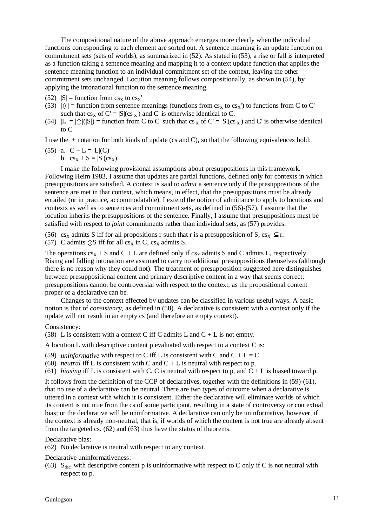The compositional nature of the above approach emerges more clearly when the individual functions corresponding to each element are sorted out. A sentence meaning is an update function on commitment sets (sets of worlds), as summarized in (52). As stated in (53), a rise or fall is interpreted as a function taking a sentence meaning and mapping it to a context update function that applies the sentence meaning function to an individual commitment set of the context, leaving the other commitment sets unchanged. Locution meaning follows compositionally, as shown in (54), by applying the intonational function to the sentence meaning.

- $(52)$   $|S|$  = function from  $cs_x$  to  $cs_x'$
- $(53)$   $|\hat{y}|$  = function from sentence meanings (functions from cs<sub>x</sub> to cs<sub>x</sub>') to functions from C to C' such that  $cs_x$  of  $C' = |S| (cs_x)$  and C' is otherwise identical to C.
- (54)  $|L| = |\hat{y}|(|S|)$  = function from C to C' such that cs x of C' =  $|S|$ (cs x) and C' is otherwise identical to C

I use the  $+$  notation for both kinds of update (cs and C), so that the following equivalences hold:

(55) a. 
$$
C + L = |L|(C)
$$
  
b.  $cs_x + S = |S|(cs_x)$ 

I make the following provisional assumptions about presuppositions in this framework. Following Heim 1983, I assume that updates are partial functions, defined only for contexts in which presuppositions are satisfied. A context is said to *admit* a sentence only if the presuppositions of the sentence are met in that context, which means, in effect, that the presuppositions must be already entailed (or in practice, accommodatable). I extend the notion of admittance to apply to locutions and contexts as well as to sentences and commitment sets, as defined in  $(56)-(57)$ . I assume that the locution inherits the presuppositions of the sentence. Finally, I assume that presuppositions must be satisfied with respect to *joint* commitments rather than individual sets, as (57) provides.

(56) cs<sub>x</sub> admits S iff for all propositions r such that r is a presupposition of S, cs<sub>x</sub>  $\subset$  r.

(57) C admits  $\hat{\psi}$ S iff for all cs<sub>X</sub> in C, cs<sub>X</sub> admits S.

The operations  $cs_x + S$  and  $C + L$  are defined only if  $cs_x$  admits S and C admits L, respectively. Rising and falling intonation are assumed to carry no additional presuppositions themselves (although there is no reason why they could not). The treatment of presupposition suggested here distinguishes between presuppositional content and primary descriptive content in a way that seems correct: presuppositions cannot be controversial with respect to the context, as the propositional content proper of a declarative can be.

Changes to the context effected by updates can be classified in various useful ways. A basic notion is that of *consistency*, as defined in (58). A declarative is consistent with a context only if the update will not result in an empty cs (and therefore an empty context).

#### Consistency:

(58) L is consistent with a context C iff C admits L and  $C + L$  is not empty.

A locution L with descriptive content p evaluated with respect to a context C is:

(59) *uninformative* with respect to C iff L is consistent with C and  $C + L = C$ .

(60) *neutral* iff L is consistent with C and  $C + L$  is neutral with respect to p.

(61) *biasing* iff L is consistent with C, C is neutral with respect to p, and  $C + L$  is biased toward p.

It follows from the definition of the CCP of declaratives, together with the definitions in (59)-(61), that no use of a declarative can be neutral. There are two types of outcome when a declarative is uttered in a context with which it is consistent. Either the declarative will eliminate worlds of which its content is not true from the cs of some participant, resulting in a state of controversy or contextual bias; or the declarative will be uninformative. A declarative can only be uninformative, however, if the context is already non-neutral, that is, if worlds of which the content is not true are already absent from the targeted cs. (62) and (63) thus have the status of theorems.

Declarative bias:

(62) No declarative is neutral with respect to any context.

Declarative uninformativeness:

(63)  $S_{\text{decl}}$  with descriptive content p is uninformative with respect to C only if C is not neutral with respect to p.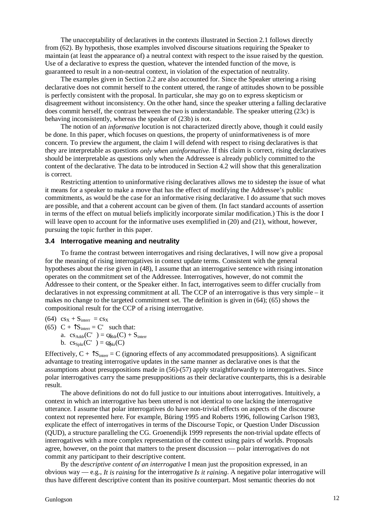The unacceptability of declaratives in the contexts illustrated in Section 2.1 follows directly from (62). By hypothesis, those examples involved discourse situations requiring the Speaker to maintain (at least the appearance of) a neutral context with respect to the issue raised by the question. Use of a declarative to express the question, whatever the intended function of the move, is guaranteed to result in a non-neutral context, in violation of the expectation of neutrality.

The examples given in Section 2.2 are also accounted for. Since the Speaker uttering a rising declarative does not commit herself to the content uttered, the range of attitudes shown to be possible is perfectly consistent with the proposal. In particular, she may go on to express skepticism or disagreement without inconsistency. On the other hand, since the speaker uttering a falling declarative does commit herself, the contrast between the two is understandable. The speaker uttering (23c) is behaving inconsistently, whereas the speaker of (23b) is not.

The notion of an *informative* locution is not characterized directly above, though it could easily be done. In this paper, which focuses on questions, the property of uninformativeness is of more concern. To preview the argument, the claim I will defend with respect to rising declaratives is that they are interpretable as questions *only when uninformative*. If this claim is correct, rising declaratives should be interpretable as questions only when the Addressee is already publicly committed to the content of the declarative. The data to be introduced in Section 4.2 will show that this generalization is correct.

Restricting attention to uninformative rising declaratives allows me to sidestep the issue of what it means for a speaker to make a move that has the effect of modifying the Addressee's public commitments, as would be the case for an informative rising declarative. I do assume that such moves are possible, and that a coherent account can be given of them. (In fact standard accounts of assertion in terms of the effect on mutual beliefs implicitly incorporate similar modification.) This is the door I will leave open to account for the informative uses exemplified in  $(20)$  and  $(21)$ , without, however, pursuing the topic further in this paper.

#### **3.4 Interrogative meaning and neutrality**

To frame the contrast between interrogatives and rising declaratives, I will now give a proposal for the meaning of rising interrogatives in context update terms. Consistent with the general hypotheses about the rise given in (48), I assume that an interrogative sentence with rising intonation operates on the commitment set of the Addressee. Interrogatives, however, do not commit the Addressee to their content, or the Speaker either. In fact, interrogatives seem to differ crucially from declaratives in not expressing commitment at all. The CCP of an interrogative is thus very simple – it makes no change to the targeted commitment set. The definition is given in (64); (65) shows the compositional result for the CCP of a rising interrogative.

 $(64) \text{ cs}_X + \text{S}_{interr} = \text{cs}_X$ 

- (65)  $C + \hat{S}_{inter} = C'$  such that:
	- a.  $cs_{\text{Addr}}(C') = c_{\text{Addr}}(C) + S_{\text{inter}}$ 
		- b.  $cs_{\text{spkr}}(C') = cs_{\text{pkr}}(C)$

Effectively,  $C + \hat{S}_{inter} = C$  (ignoring effects of any accommodated presuppositions). A significant advantage to treating interrogative updates in the same manner as declarative ones is that the assumptions about presuppositions made in (56)-(57) apply straightforwardly to interrogatives. Since polar interrogatives carry the same presuppositions as their declarative counterparts, this is a desirable result.

The above definitions do not do full justice to our intuitions about interrogatives. Intuitively, a context in which an interrogative has been uttered is not identical to one lacking the interrogative utterance. I assume that polar interrogatives do have non-trivial effects on aspects of the discourse context not represented here. For example, Büring 1995 and Roberts 1996, following Carlson 1983, explicate the effect of interrogatives in terms of the Discourse Topic, or Question Under Discussion (QUD), a structure paralleling the CG. Groenendijk 1999 represents the non-trivial update effects of interrogatives with a more complex representation of the context using pairs of worlds. Proposals agree, however, on the point that matters to the present discussion — polar interrogatives do not commit any participant to their descriptive content.

By the *descriptive content of an interrogative* I mean just the proposition expressed, in an obvious way — e.g., *It is raining* for the interrogative *Is it raining*. A negative polar interrogative will thus have different descriptive content than its positive counterpart. Most semantic theories do not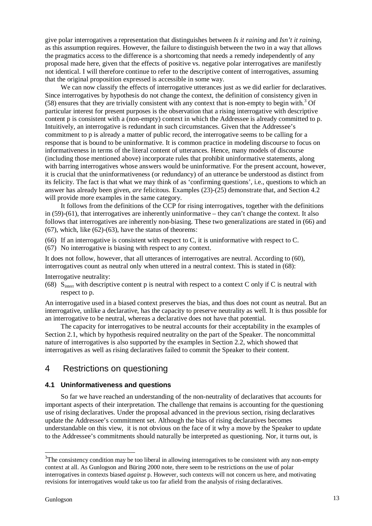give polar interrogatives a representation that distinguishes between *Is it raining* and *Isn't it raining*, as this assumption requires. However, the failure to distinguish between the two in a way that allows the pragmatics access to the difference is a shortcoming that needs a remedy independently of any proposal made here, given that the effects of positive vs. negative polar interrogatives are manifestly not identical. I will therefore continue to refer to the descriptive content of interrogatives, assuming that the original proposition expressed is accessible in some way.

We can now classify the effects of interrogative utterances just as we did earlier for declaratives. Since interrogatives by hypothesis do not change the context, the definition of consistency given in (58) ensures that they are trivially consistent with any context that is non-empty to begin with. <sup>3</sup> Of particular interest for present purposes is the observation that a rising interrogative with descriptive content p is consistent with a (non-empty) context in which the Addressee is already committed to p. Intuitively, an interrogative is redundant in such circumstances. Given that the Addressee's commitment to p is already a matter of public record, the interrogative seems to be calling for a response that is bound to be uninformative. It is common practice in modeling discourse to focus on informativeness in terms of the literal content of utterances. Hence, many models of discourse (including those mentioned above) incorporate rules that prohibit uninformative statements, along with barring interrogatives whose answers would be uninformative. For the present account, however, it is crucial that the uninformativeness (or redundancy) of an utterance be understood as distinct from its felicity. The fact is that what we may think of as 'confirming questions', i.e., questions to which an answer has already been given, *are* felicitous. Examples (23)-(25) demonstrate that, and Section 4.2 will provide more examples in the same category.

It follows from the definitions of the CCP for rising interrogatives, together with the definitions in (59)-(61), that interrogatives are inherently uninformative – they can't change the context. It also follows that interrogatives are inherently non-biasing. These two generalizations are stated in (66) and  $(67)$ , which, like  $(62)-(63)$ , have the status of theorems:

(66) If an interrogative is consistent with respect to C, it is uninformative with respect to C.

(67) No interrogative is biasing with respect to any context.

It does not follow, however, that all utterances of interrogatives are neutral. According to (60), interrogatives count as neutral only when uttered in a neutral context. This is stated in (68):

Interrogative neutrality:

(68)  $S<sub>inter</sub>$  with descriptive content p is neutral with respect to a context C only if C is neutral with respect to p.

An interrogative used in a biased context preserves the bias, and thus does not count as neutral. But an interrogative, unlike a declarative, has the capacity to preserve neutrality as well. It is thus possible for an interrogative to be neutral, whereas a declarative does not have that potential.

The capacity for interrogatives to be neutral accounts for their acceptability in the examples of Section 2.1, which by hypothesis required neutrality on the part of the Speaker. The noncommittal nature of interrogatives is also supported by the examples in Section 2.2, which showed that interrogatives as well as rising declaratives failed to commit the Speaker to their content.

## 4 Restrictions on questioning

### **4.1 Uninformativeness and questions**

So far we have reached an understanding of the non-neutrality of declaratives that accounts for important aspects of their interpretation. The challenge that remains is accounting for the questioning use of rising declaratives. Under the proposal advanced in the previous section, rising declaratives update the Addressee's commitment set. Although the bias of rising declaratives becomes understandable on this view, it is not obvious on the face of it why a move by the Speaker to update to the Addressee's commitments should naturally be interpreted as questioning. Nor, it turns out, is

l

<sup>&</sup>lt;sup>3</sup>The consistency condition may be too liberal in allowing interrogatives to be consistent with any non-empty context at all. As Gunlogson and Büring 2000 note, there seem to be restrictions on the use of polar interrogatives in contexts biased *against* p. However, such contexts will not concern us here, and motivating revisions for interrogatives would take us too far afield from the analysis of rising declaratives.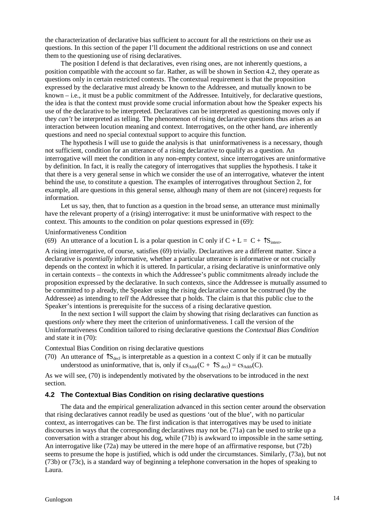the characterization of declarative bias sufficient to account for all the restrictions on their use as questions. In this section of the paper I'll document the additional restrictions on use and connect them to the questioning use of rising declaratives.

The position I defend is that declaratives, even rising ones, are not inherently questions, a position compatible with the account so far. Rather, as will be shown in Section 4.2, they operate as questions only in certain restricted contexts. The contextual requirement is that the proposition expressed by the declarative must already be known to the Addressee, and mutually known to be known – i.e., it must be a public commitment of the Addressee. Intuitively, for declarative questions, the idea is that the context must provide some crucial information about how the Speaker expects his use of the declarative to be interpreted. Declaratives can be interpreted as questioning moves only if they *can't* be interpreted as telling. The phenomenon of rising declarative questions thus arises as an interaction between locution meaning and context. Interrogatives, on the other hand, *are* inherently questions and need no special contextual support to acquire this function.

The hypothesis I will use to guide the analysis is that uninformativeness is a necessary, though not sufficient, condition for an utterance of a rising declarative to qualify as a question. An interrogative will meet the condition in any non-empty context, since interrogatives are uninformative by definition. In fact, it is really the category of interrogatives that supplies the hypothesis. I take it that there is a very general sense in which we consider the use of an interrogative, whatever the intent behind the use, to constitute a question. The examples of interrogatives throughout Section 2, for example, all are questions in this general sense, although many of them are not (sincere) requests for information.

Let us say, then, that to function as a question in the broad sense, an utterance must minimally have the relevant property of a (rising) interrogative: it must be uninformative with respect to the context. This amounts to the condition on polar questions expressed in (69):

Uninformativeness Condition

(69) An utterance of a locution L is a polar question in C only if  $C + L = C + \hat{S}_{inter}$ .

A rising interrogative, of course, satisfies (69) trivially. Declaratives are a different matter. Since a declarative is *potentially* informative, whether a particular utterance is informative or not crucially depends on the context in which it is uttered. In particular, a rising declarative is uninformative only in certain contexts – the contexts in which the Addressee's public commitments already include the proposition expressed by the declarative. In such contexts, since the Addressee is mutually assumed to be committed to p already, the Speaker using the rising declarative cannot be construed (by the Addressee) as intending to *tell* the Addressee that p holds. The claim is that this public clue to the Speaker's intentions is prerequisite for the success of a rising declarative question.

In the next section I will support the claim by showing that rising declaratives can function as questions *only* where they meet the criterion of uninformativeness. I call the version of the Uninformativeness Condition tailored to rising declarative questions the *Contextual Bias Condition* and state it in (70):

Contextual Bias Condition on rising declarative questions

(70) An utterance of  $\text{S}_{\text{decl}}$  is interpretable as a question in a context C only if it can be mutually understood as uninformative, that is, only if  $cs_{\text{Addr}}(C + \hat{S}_{\text{ded}}) = cs_{\text{Addr}}(C)$ .

As we will see, (70) is independently motivated by the observations to be introduced in the next section.

#### **4.2 The Contextual Bias Condition on rising declarative questions**

The data and the empirical generalization advanced in this section center around the observation that rising declaratives cannot readily be used as questions 'out of the blue', with no particular context, as interrogatives can be. The first indication is that interrogatives may be used to initiate discourses in ways that the corresponding declaratives may not be. (71a) can be used to strike up a conversation with a stranger about his dog, while (71b) is awkward to impossible in the same setting. An interrogative like (72a) may be uttered in the mere hope of an affirmative response, but (72b) seems to presume the hope is justified, which is odd under the circumstances. Similarly, (73a), but not (73b) or (73c), is a standard way of beginning a telephone conversation in the hopes of speaking to Laura.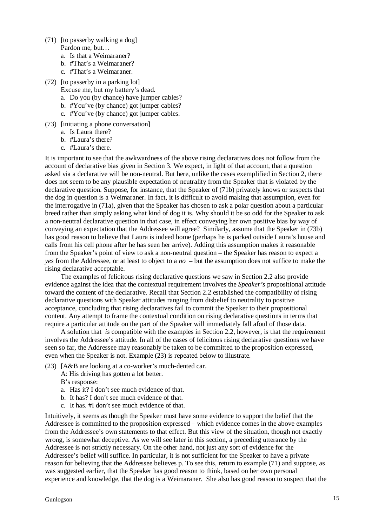- (71) [to passerby walking a dog] Pardon me, but…
	- a. Is that a Weimaraner?
	- b. #That's a Weimaraner?
	- c. #That's a Weimaraner.
- (72) [to passerby in a parking lot]
	- Excuse me, but my battery's dead.
	- a. Do you (by chance) have jumper cables?
	- b. #You've (by chance) got jumper cables?
	- c. #You've (by chance) got jumper cables.
- (73) [initiating a phone conversation]
	- a. Is Laura there?
	- b. #Laura's there?
	- c. #Laura's there.

It is important to see that the awkwardness of the above rising declaratives does not follow from the account of declarative bias given in Section 3. We expect, in light of that account, that a question asked via a declarative will be non-neutral. But here, unlike the cases exemplified in Section 2, there does not seem to be any plausible expectation of neutrality from the Speaker that is violated by the declarative question. Suppose, for instance, that the Speaker of (71b) privately knows or suspects that the dog in question is a Weimaraner. In fact, it is difficult to avoid making that assumption, even for the interrogative in (71a), given that the Speaker has chosen to ask a polar question about a particular breed rather than simply asking what kind of dog it is. Why should it be so odd for the Speaker to ask a non-neutral declarative question in that case, in effect conveying her own positive bias by way of conveying an expectation that the Addressee will agree? Similarly, assume that the Speaker in (73b) has good reason to believe that Laura is indeed home (perhaps he is parked outside Laura's house and calls from his cell phone after he has seen her arrive). Adding this assumption makes it reasonable from the Speaker's point of view to ask a non-neutral question – the Speaker has reason to expect a *yes* from the Addressee, or at least to object to a *no* – but the assumption does not suffice to make the rising declarative acceptable.

The examples of felicitous rising declarative questions we saw in Section 2.2 also provide evidence against the idea that the contextual requirement involves the *Speaker's* propositional attitude toward the content of the declarative. Recall that Section 2.2 established the compatibility of rising declarative questions with Speaker attitudes ranging from disbelief to neutrality to positive acceptance, concluding that rising declaratives fail to commit the Speaker to their propositional content. Any attempt to frame the contextual condition on rising declarative questions in terms that require a particular attitude on the part of the Speaker will immediately fall afoul of those data.

A solution that *is* compatible with the examples in Section 2.2, however, is that the requirement involves the Addressee's attitude. In all of the cases of felicitous rising declarative questions we have seen so far, the Addressee may reasonably be taken to be committed to the proposition expressed, even when the Speaker is not. Example (23) is repeated below to illustrate.

(23) [A&B are looking at a co-worker's much-dented car.

A: His driving has gotten a lot better.

B's response:

- a. Has it? I don't see much evidence of that.
- b. It has? I don't see much evidence of that.
- c. It has. #I don't see much evidence of that.

Intuitively, it seems as though the Speaker must have some evidence to support the belief that the Addressee is committed to the proposition expressed – which evidence comes in the above examples from the Addressee's own statements to that effect. But this view of the situation, though not exactly wrong, is somewhat deceptive. As we will see later in this section, a preceding utterance by the Addressee is not strictly necessary. On the other hand, not just any sort of evidence for the Addressee's belief will suffice. In particular, it is not sufficient for the Speaker to have a private reason for believing that the Addressee believes p. To see this, return to example (71) and suppose, as was suggested earlier, that the Speaker has good reason to think, based on her own personal experience and knowledge, that the dog is a Weimaraner. She also has good reason to suspect that the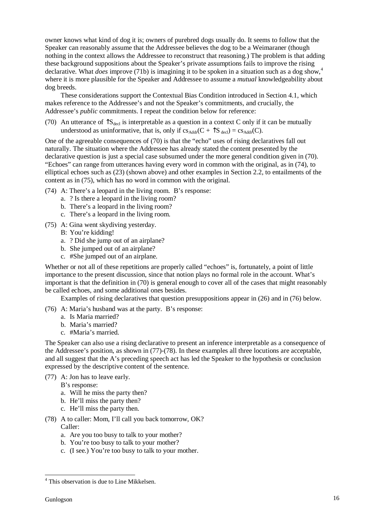owner knows what kind of dog it is; owners of purebred dogs usually do. It seems to follow that the Speaker can reasonably assume that the Addressee believes the dog to be a Weimaraner (though nothing in the context allows the Addressee to reconstruct that reasoning.) The problem is that adding these background suppositions about the Speaker's private assumptions fails to improve the rising declarative. What *does* improve (71b) is imagining it to be spoken in a situation such as a dog show, 4 where it is more plausible for the Speaker and Addressee to assume a *mutual* knowledgeability about dog breeds.

These considerations support the Contextual Bias Condition introduced in Section 4.1, which makes reference to the Addressee's and not the Speaker's commitments, and crucially, the Addressee's *public* commitments. I repeat the condition below for reference:

(70) An utterance of  $\text{TS}_{\text{decl}}$  is interpretable as a question in a context C only if it can be mutually understood as uninformative, that is, only if  $cs_{\text{Addr}}(C + \hat{S}_{\text{decl}}) = cs_{\text{Addr}}(C)$ .

One of the agreeable consequences of (70) is that the "echo" uses of rising declaratives fall out naturally. The situation where the Addressee has already stated the content presented by the declarative question is just a special case subsumed under the more general condition given in (70). "Echoes" can range from utterances having every word in common with the original, as in (74), to elliptical echoes such as (23) (shown above) and other examples in Section 2.2, to entailments of the content as in (75), which has no word in common with the original.

- (74) A: There's a leopard in the living room. B's response:
	- a. ? Is there a leopard in the living room?
	- b. There's a leopard in the living room?
	- c. There's a leopard in the living room.
- (75) A: Gina went skydiving yesterday.
	- B: You're kidding!
	- a. ? Did she jump out of an airplane?
	- b. She jumped out of an airplane?
	- c. #She jumped out of an airplane.

Whether or not all of these repetitions are properly called "echoes" is, fortunately, a point of little importance to the present discussion, since that notion plays no formal role in the account. What's important is that the definition in (70) is general enough to cover all of the cases that might reasonably be called echoes, and some additional ones besides.

Examples of rising declaratives that question presuppositions appear in (26) and in (76) below.

- (76) A: Maria's husband was at the party. B's response:
	- a. Is Maria married?
	- b. Maria's married?
	- c. #Maria's married.

The Speaker can also use a rising declarative to present an inference interpretable as a consequence of the Addressee's position, as shown in (77)-(78). In these examples all three locutions are acceptable, and all suggest that the A's preceding speech act has led the Speaker to the hypothesis or conclusion expressed by the descriptive content of the sentence.

(77) A: Jon has to leave early.

B's response:

- a. Will he miss the party then?
- b. He'll miss the party then?
- c. He'll miss the party then.
- (78) A to caller: Mom, I'll call you back tomorrow, OK? Caller:
	- a. Are you too busy to talk to your mother?
	- b. You're too busy to talk to your mother?
	- c. (I see.) You're too busy to talk to your mother.

 $\overline{a}$ 

<sup>4</sup> This observation is due to Line Mikkelsen.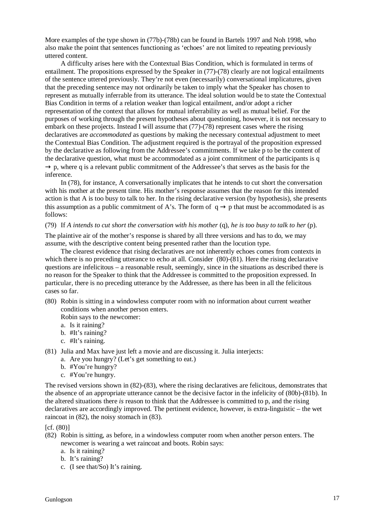More examples of the type shown in (77b)-(78b) can be found in Bartels 1997 and Noh 1998, who also make the point that sentences functioning as 'echoes' are not limited to repeating previously uttered content.

A difficulty arises here with the Contextual Bias Condition, which is formulated in terms of entailment. The propositions expressed by the Speaker in (77)-(78) clearly are not logical entailments of the sentence uttered previously. They're not even (necessarily) conversational implicatures, given that the preceding sentence may not ordinarily be taken to imply what the Speaker has chosen to represent as mutually inferrable from its utterance. The ideal solution would be to state the Contextual Bias Condition in terms of a relation weaker than logical entailment, and/or adopt a richer representation of the context that allows for mutual inferrability as well as mutual belief. For the purposes of working through the present hypotheses about questioning, however, it is not necessary to embark on these projects. Instead I will assume that (77)-(78) represent cases where the rising declaratives are *accommodated* as questions by making the necessary contextual adjustment to meet the Contextual Bias Condition. The adjustment required is the portrayal of the proposition expressed by the declarative as following from the Addressee's commitments. If we take p to be the content of the declarative question, what must be accommodated as a joint commitment of the participants is q  $\rightarrow$  p, where q is a relevant public commitment of the Addressee's that serves as the basis for the inference.

In (78), for instance, A conversationally implicates that he intends to cut short the conversation with his mother at the present time. His mother's response assumes that the reason for this intended action is that A is too busy to talk to her. In the rising declarative version (by hypothesis), she presents this assumption as a public commitment of A's. The form of  $q \rightarrow p$  that must be accommodated is as follows:

#### (79) If *A intends to cut short the conversation with his mother* (q), *he is too busy to talk to her* (p).

The plaintive air of the mother's response is shared by all three versions and has to do, we may assume, with the descriptive content being presented rather than the locution type.

The clearest evidence that rising declaratives are not inherently echoes comes from contexts in which there is no preceding utterance to echo at all. Consider (80)-(81). Here the rising declarative questions are infelicitous – a reasonable result, seemingly, since in the situations as described there is no reason for the Speaker to think that the Addressee is committed to the proposition expressed. In particular, there is no preceding utterance by the Addressee, as there has been in all the felicitous cases so far.

(80) Robin is sitting in a windowless computer room with no information about current weather conditions when another person enters.

Robin says to the newcomer:

- a. Is it raining?
- b. #It's raining?
- c. #It's raining.
- (81) Julia and Max have just left a movie and are discussing it. Julia interjects:
	- a. Are you hungry? (Let's get something to eat.)
	- b. #You're hungry?
	- c. #You're hungry.

The revised versions shown in (82)-(83), where the rising declaratives are felicitous, demonstrates that the absence of an appropriate utterance cannot be the decisive factor in the infelicity of (80b)-(81b). In the altered situations there *is* reason to think that the Addressee is committed to p, and the rising declaratives are accordingly improved. The pertinent evidence, however, is extra-linguistic – the wet raincoat in (82), the noisy stomach in (83).

 $[cf. (80)]$ 

- (82) Robin is sitting, as before, in a windowless computer room when another person enters. The newcomer is wearing a wet raincoat and boots. Robin says:
	- a. Is it raining?
	- b. It's raining?
	- c. (I see that/So) It's raining.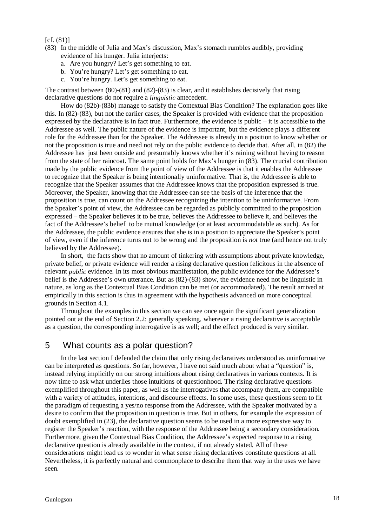#### $[cf. (81)]$

- (83) In the middle of Julia and Max's discussion, Max's stomach rumbles audibly, providing evidence of his hunger. Julia interjects:
	- a. Are you hungry? Let's get something to eat.
	- b. You're hungry? Let's get something to eat.
	- c. You're hungry. Let's get something to eat.

The contrast between (80)-(81) and (82)-(83) is clear, and it establishes decisively that rising declarative questions do not require a *linguistic* antecedent.

How do (82b)-(83b) manage to satisfy the Contextual Bias Condition? The explanation goes like this. In (82)-(83), but not the earlier cases, the Speaker is provided with evidence that the proposition expressed by the declarative is in fact true. Furthermore, the evidence is public – it is accessible to the Addressee as well. The public nature of the evidence is important, but the evidence plays a different role for the Addressee than for the Speaker. The Addressee is already in a position to know whether or not the proposition is true and need not rely on the public evidence to decide that. After all, in (82) the Addressee has just been outside and presumably knows whether it's raining without having to reason from the state of her raincoat. The same point holds for Max's hunger in (83). The crucial contribution made by the public evidence from the point of view of the Addressee is that it enables the Addressee to recognize that the Speaker is being intentionally uninformative. That is, the Addressee is able to recognize that the Speaker assumes that the Addressee knows that the proposition expressed is true. Moreover, the Speaker, knowing that the Addressee can see the basis of the inference that the proposition is true, can count on the Addressee recognizing the intention to be uninformative. From the Speaker's point of view, the Addressee can be regarded as publicly committed to the proposition expressed – the Speaker believes it to be true, believes the Addressee to believe it, and believes the fact of the Addressee's belief to be mutual knowledge (or at least accommodatable as such). As for the Addressee, the public evidence ensures that she is in a position to appreciate the Speaker's point of view, even if the inference turns out to be wrong and the proposition is *not* true (and hence not truly believed by the Addressee).

In short, the facts show that no amount of tinkering with assumptions about private knowledge, private belief, or private evidence will render a rising declarative question felicitous in the absence of relevant *public* evidence. In its most obvious manifestation, the public evidence for the Addressee's belief is the Addressee's own utterance. But as (82)-(83) show, the evidence need not be linguistic in nature, as long as the Contextual Bias Condition can be met (or accommodated). The result arrived at empirically in this section is thus in agreement with the hypothesis advanced on more conceptual grounds in Section 4.1.

Throughout the examples in this section we can see once again the significant generalization pointed out at the end of Section 2.2: generally speaking, wherever a rising declarative is acceptable as a question, the corresponding interrogative is as well; and the effect produced is very similar.

## 5 What counts as a polar question?

In the last section I defended the claim that only rising declaratives understood as uninformative can be interpreted as questions. So far, however, I have not said much about what a "question" is, instead relying implicitly on our strong intuitions about rising declaratives in various contexts. It is now time to ask what underlies those intuitions of questionhood. The rising declarative questions exemplified throughout this paper, as well as the interrogatives that accompany them, are compatible with a variety of attitudes, intentions, and discourse effects. In some uses, these questions seem to fit the paradigm of requesting a yes/no response from the Addressee, with the Speaker motivated by a desire to confirm that the proposition in question is true. But in others, for example the expression of doubt exemplified in (23), the declarative question seems to be used in a more expressive way to register the Speaker's reaction, with the response of the Addressee being a secondary consideration. Furthermore, given the Contextual Bias Condition, the Addressee's expected response to a rising declarative question is already available in the context, if not already stated. All of these considerations might lead us to wonder in what sense rising declaratives constitute questions at all. Nevertheless, it is perfectly natural and commonplace to describe them that way in the uses we have seen.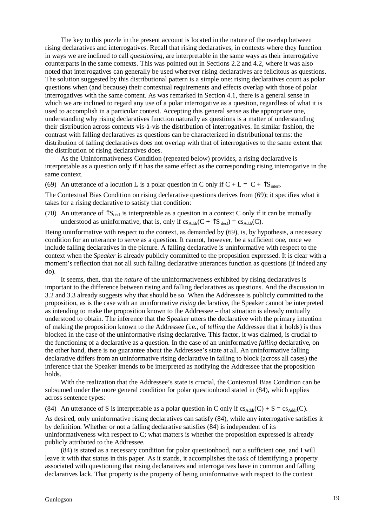The key to this puzzle in the present account is located in the nature of the overlap between rising declaratives and interrogatives. Recall that rising declaratives, in contexts where they function in ways we are inclined to call *questioning*, are interpretable in the same ways as their interrogative counterparts in the same contexts. This was pointed out in Sections 2.2 and 4.2, where it was also noted that interrogatives can generally be used wherever rising declaratives are felicitous as questions. The solution suggested by this distributional pattern is a simple one: rising declaratives count as polar questions when (and because) their contextual requirements and effects overlap with those of polar interrogatives with the same content. As was remarked in Section 4.1, there is a general sense in which we are inclined to regard any use of a polar interrogative as a question, regardless of what it is used to accomplish in a particular context. Accepting this general sense as the appropriate one, understanding why rising declaratives function naturally as questions is a matter of understanding their distribution across contexts vis-à-vis the distribution of interrogatives. In similar fashion, the contrast with falling declaratives as questions can be characterized in distributional terms: the distribution of falling declaratives does not overlap with that of interrogatives to the same extent that the distribution of rising declaratives does.

As the Uninformativeness Condition (repeated below) provides, a rising declarative is interpretable as a question only if it has the same effect as the corresponding rising interrogative in the same context.

(69) An utterance of a locution L is a polar question in C only if  $C + L = C + \hat{S}_{inter}$ 

The Contextual Bias Condition on rising declarative questions derives from (69); it specifies what it takes for a rising declarative to satisfy that condition:

(70) An utterance of  $\text{S}_{\text{decl}}$  is interpretable as a question in a context C only if it can be mutually understood as uninformative, that is, only if  $cs_{\text{Addr}}(C + \hat{S}_{\text{dec}}) = cs_{\text{Addr}}(C)$ .

Being uninformative with respect to the context, as demanded by (69), is, by hypothesis, a necessary condition for an utterance to serve as a question. It cannot, however, be a sufficient one, once we include falling declaratives in the picture. A falling declarative is uninformative with respect to the context when the *Speaker* is already publicly committed to the proposition expressed. It is clear with a moment's reflection that not all such falling declarative utterances function as questions (if indeed any do).

It seems, then, that the *nature* of the uninformativeness exhibited by rising declaratives is important to the difference between rising and falling declaratives as questions. And the discussion in 3.2 and 3.3 already suggests why that should be so. When the Addressee is publicly committed to the proposition, as is the case with an uninformative *rising* declarative, the Speaker cannot be interpreted as intending to make the proposition known to the Addressee – that situation is already mutually understood to obtain. The inference that the Speaker utters the declarative with the primary intention of making the proposition known to the Addressee (i.e., of *telling* the Addressee that it holds) is thus blocked in the case of the uninformative rising declarative. This factor, it was claimed, is crucial to the functioning of a declarative as a question. In the case of an uninformative *falling* declarative, on the other hand, there is no guarantee about the Addressee's state at all. An uninformative falling declarative differs from an uninformative rising declarative in failing to block (across all cases) the inference that the Speaker intends to be interpreted as notifying the Addressee that the proposition holds.

With the realization that the Addressee's state is crucial, the Contextual Bias Condition can be subsumed under the more general condition for polar questionhood stated in (84), which applies across sentence types:

(84) An utterance of S is interpretable as a polar question in C only if  $cs_{Addr}(C) + S = cs_{Addr}(C)$ .

As desired, only uninformative rising declaratives can satisfy (84), while any interrogative satisfies it by definition. Whether or not a falling declarative satisfies (84) is independent of its uninformativeness with respect to C; what matters is whether the proposition expressed is already publicly attributed to the Addressee.

(84) is stated as a necessary condition for polar questionhood, not a sufficient one, and I will leave it with that status in this paper. As it stands, it accomplishes the task of identifying a property associated with questioning that rising declaratives and interrogatives have in common and falling declaratives lack. That property is the property of being uninformative with respect to the context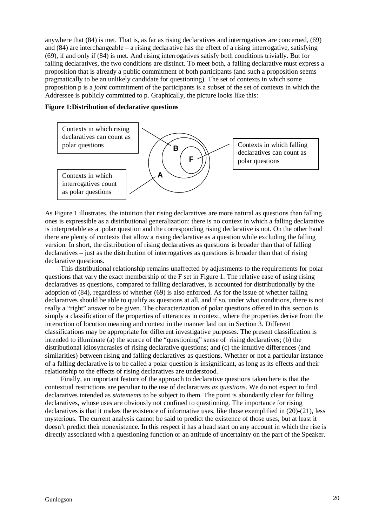anywhere that (84) is met. That is, as far as rising declaratives and interrogatives are concerned, (69) and (84) are interchangeable – a rising declarative has the effect of a rising interrogative, satisfying (69), if and only if (84) is met. And rising interrogatives satisfy both conditions trivially. But for falling declaratives, the two conditions are distinct. To meet both, a falling declarative must express a proposition that is already a public commitment of both participants (and such a proposition seems pragmatically to be an unlikely candidate for questioning). The set of contexts in which some proposition p is a *joint* commitment of the participants is a subset of the set of contexts in which the Addressee is publicly committed to p. Graphically, the picture looks like this:

#### **Figure 1:Distribution of declarative questions**



As Figure 1 illustrates, the intuition that rising declaratives are more natural as questions than falling ones is expressible as a distributional generalization: there is no context in which a falling declarative is interpretable as a polar question and the corresponding rising declarative is not. On the other hand there are plenty of contexts that allow a rising declarative as a question while excluding the falling version. In short, the distribution of rising declaratives as questions is broader than that of falling declaratives – just as the distribution of interrogatives as questions is broader than that of rising declarative questions.

This distributional relationship remains unaffected by adjustments to the requirements for polar questions that vary the exact membership of the F set in Figure 1. The relative ease of using rising declaratives as questions, compared to falling declaratives, is accounted for distributionally by the adoption of (84), regardless of whether (69) is also enforced. As for the issue of whether falling declaratives should be able to qualify as questions at all, and if so, under what conditions, there is not really a "right" answer to be given. The characterization of polar questions offered in this section is simply a classification of the properties of utterances in context, where the properties derive from the interaction of locution meaning and context in the manner laid out in Section 3. Different classifications may be appropriate for different investigative purposes. The present classification is intended to illuminate (a) the source of the "questioning" sense of rising declaratives; (b) the distributional idiosyncrasies of rising declarative questions; and (c) the intuitive differences (and similarities) between rising and falling declaratives as questions. Whether or not a particular instance of a falling declarative is to be called a polar question is insignificant, as long as its effects and their relationship to the effects of rising declaratives are understood.

Finally, an important feature of the approach to declarative questions taken here is that the contextual restrictions are peculiar to the use of declaratives *as questions*. We do not expect to find declaratives intended as *statements* to be subject to them. The point is abundantly clear for falling declaratives, whose uses are obviously not confined to questioning. The importance for rising declaratives is that it makes the existence of informative uses, like those exemplified in (20)-(21), less mysterious. The current analysis cannot be said to predict the existence of those uses, but at least it doesn't predict their nonexistence. In this respect it has a head start on any account in which the rise is directly associated with a questioning function or an attitude of uncertainty on the part of the Speaker.